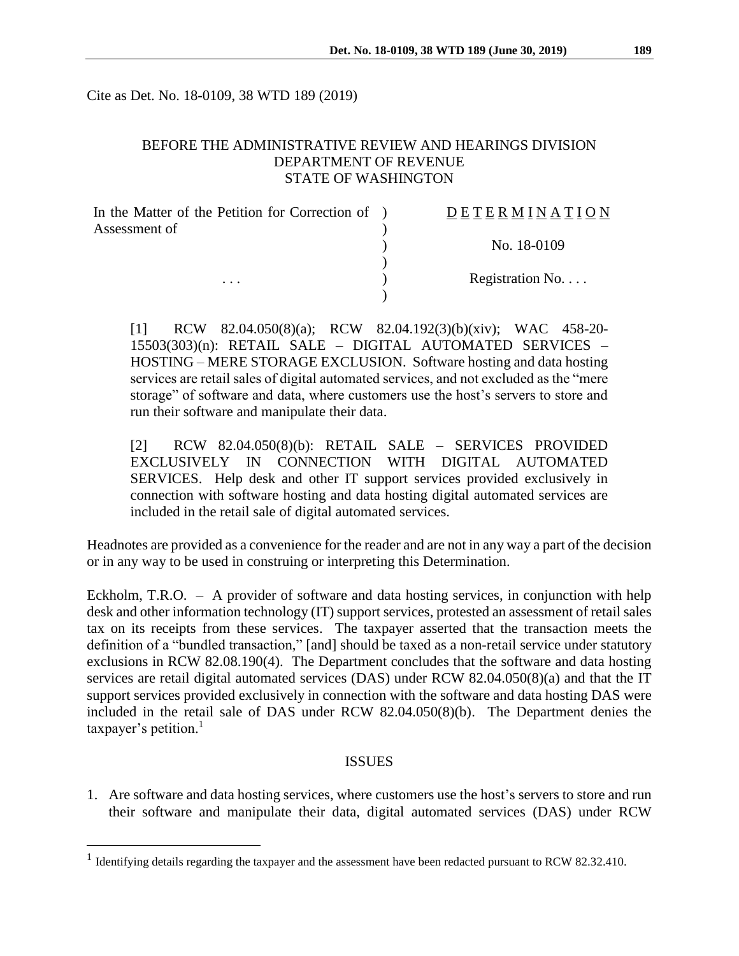Cite as Det. No. 18-0109, 38 WTD 189 (2019)

## BEFORE THE ADMINISTRATIVE REVIEW AND HEARINGS DIVISION DEPARTMENT OF REVENUE STATE OF WASHINGTON

| In the Matter of the Petition for Correction of ) | DETERMINATION             |
|---------------------------------------------------|---------------------------|
| Assessment of<br>$\cdots$                         |                           |
|                                                   | No. 18-0109               |
|                                                   | Registration No. $\ldots$ |
|                                                   |                           |

[1] RCW 82.04.050(8)(a); RCW 82.04.192(3)(b)(xiv); WAC 458-20- 15503(303)(n): RETAIL SALE – DIGITAL AUTOMATED SERVICES – HOSTING – MERE STORAGE EXCLUSION. Software hosting and data hosting services are retail sales of digital automated services, and not excluded as the "mere storage" of software and data, where customers use the host's servers to store and run their software and manipulate their data.

[2] RCW 82.04.050(8)(b): RETAIL SALE – SERVICES PROVIDED EXCLUSIVELY IN CONNECTION WITH DIGITAL AUTOMATED SERVICES. Help desk and other IT support services provided exclusively in connection with software hosting and data hosting digital automated services are included in the retail sale of digital automated services.

Headnotes are provided as a convenience for the reader and are not in any way a part of the decision or in any way to be used in construing or interpreting this Determination.

Eckholm, T.R.O. – A provider of software and data hosting services, in conjunction with help desk and other information technology (IT) support services, protested an assessment of retail sales tax on its receipts from these services. The taxpayer asserted that the transaction meets the definition of a "bundled transaction," [and] should be taxed as a non-retail service under statutory exclusions in RCW 82.08.190(4). The Department concludes that the software and data hosting services are retail digital automated services (DAS) under RCW 82.04.050(8)(a) and that the IT support services provided exclusively in connection with the software and data hosting DAS were included in the retail sale of DAS under RCW 82.04.050(8)(b). The Department denies the taxpayer's petition.<sup>1</sup>

### ISSUES

1. Are software and data hosting services, where customers use the host's servers to store and run their software and manipulate their data, digital automated services (DAS) under RCW

 $\overline{a}$ 

<sup>&</sup>lt;sup>1</sup> Identifying details regarding the taxpayer and the assessment have been redacted pursuant to RCW 82.32.410.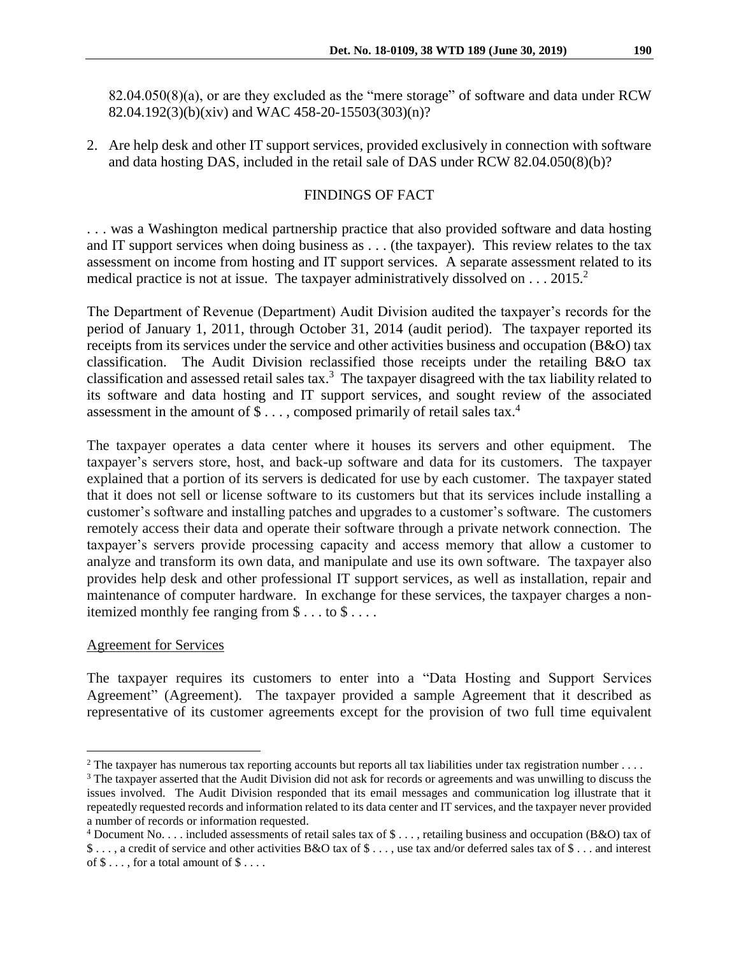82.04.050(8)(a), or are they excluded as the "mere storage" of software and data under RCW 82.04.192(3)(b)(xiv) and WAC 458-20-15503(303)(n)?

2. Are help desk and other IT support services, provided exclusively in connection with software and data hosting DAS, included in the retail sale of DAS under RCW 82.04.050(8)(b)?

# FINDINGS OF FACT

. . . was a Washington medical partnership practice that also provided software and data hosting and IT support services when doing business as . . . (the taxpayer). This review relates to the tax assessment on income from hosting and IT support services. A separate assessment related to its medical practice is not at issue. The taxpayer administratively dissolved on  $\dots$  2015.<sup>2</sup>

The Department of Revenue (Department) Audit Division audited the taxpayer's records for the period of January 1, 2011, through October 31, 2014 (audit period). The taxpayer reported its receipts from its services under the service and other activities business and occupation (B&O) tax classification. The Audit Division reclassified those receipts under the retailing B&O tax classification and assessed retail sales tax.<sup>3</sup> The taxpayer disagreed with the tax liability related to its software and data hosting and IT support services, and sought review of the associated assessment in the amount of \$ . . . , composed primarily of retail sales tax.<sup>4</sup>

The taxpayer operates a data center where it houses its servers and other equipment. The taxpayer's servers store, host, and back-up software and data for its customers. The taxpayer explained that a portion of its servers is dedicated for use by each customer. The taxpayer stated that it does not sell or license software to its customers but that its services include installing a customer's software and installing patches and upgrades to a customer's software. The customers remotely access their data and operate their software through a private network connection. The taxpayer's servers provide processing capacity and access memory that allow a customer to analyze and transform its own data, and manipulate and use its own software. The taxpayer also provides help desk and other professional IT support services, as well as installation, repair and maintenance of computer hardware. In exchange for these services, the taxpayer charges a nonitemized monthly fee ranging from \$ . . . to \$ . . . .

## Agreement for Services

 $\overline{a}$ 

The taxpayer requires its customers to enter into a "Data Hosting and Support Services Agreement" (Agreement). The taxpayer provided a sample Agreement that it described as representative of its customer agreements except for the provision of two full time equivalent

<sup>&</sup>lt;sup>2</sup> The taxpayer has numerous tax reporting accounts but reports all tax liabilities under tax registration number  $\dots$ 

<sup>&</sup>lt;sup>3</sup> The taxpayer asserted that the Audit Division did not ask for records or agreements and was unwilling to discuss the issues involved. The Audit Division responded that its email messages and communication log illustrate that it repeatedly requested records and information related to its data center and IT services, and the taxpayer never provided a number of records or information requested.

 $4$  Document No. . . . included assessments of retail sales tax of  $\$\ldots$ , retailing business and occupation (B&O) tax of \$ . . . , a credit of service and other activities B&O tax of \$ . . . , use tax and/or deferred sales tax of \$ . . . and interest of  $\$\dots$ , for a total amount of  $\$\dots$ .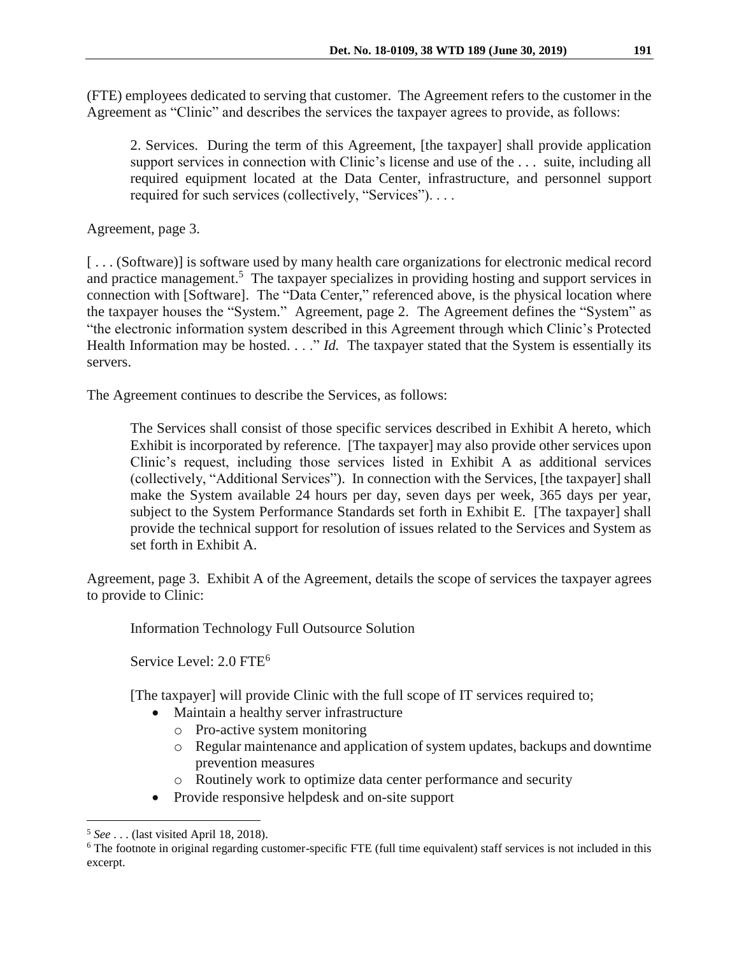(FTE) employees dedicated to serving that customer. The Agreement refers to the customer in the Agreement as "Clinic" and describes the services the taxpayer agrees to provide, as follows:

2. Services. During the term of this Agreement, [the taxpayer] shall provide application support services in connection with Clinic's license and use of the . . . suite, including all required equipment located at the Data Center, infrastructure, and personnel support required for such services (collectively, "Services"). . . .

Agreement, page 3.

[...(Software)] is software used by many health care organizations for electronic medical record and practice management.<sup>5</sup> The taxpayer specializes in providing hosting and support services in connection with [Software]. The "Data Center," referenced above, is the physical location where the taxpayer houses the "System." Agreement, page 2. The Agreement defines the "System" as "the electronic information system described in this Agreement through which Clinic's Protected Health Information may be hosted. . . ." *Id.* The taxpayer stated that the System is essentially its servers.

The Agreement continues to describe the Services, as follows:

The Services shall consist of those specific services described in Exhibit A hereto, which Exhibit is incorporated by reference. [The taxpayer] may also provide other services upon Clinic's request, including those services listed in Exhibit A as additional services (collectively, "Additional Services"). In connection with the Services, [the taxpayer] shall make the System available 24 hours per day, seven days per week, 365 days per year, subject to the System Performance Standards set forth in Exhibit E. [The taxpayer] shall provide the technical support for resolution of issues related to the Services and System as set forth in Exhibit A.

Agreement, page 3. Exhibit A of the Agreement, details the scope of services the taxpayer agrees to provide to Clinic:

Information Technology Full Outsource Solution

Service Level: 2.0 FTE<sup>6</sup>

[The taxpayer] will provide Clinic with the full scope of IT services required to;

- Maintain a healthy server infrastructure
	- o Pro-active system monitoring
	- o Regular maintenance and application of system updates, backups and downtime prevention measures
	- o Routinely work to optimize data center performance and security
- Provide responsive helpdesk and on-site support

 $\overline{a}$ <sup>5</sup> *See* . . . (last visited April 18, 2018).

<sup>&</sup>lt;sup>6</sup> The footnote in original regarding customer-specific FTE (full time equivalent) staff services is not included in this excerpt.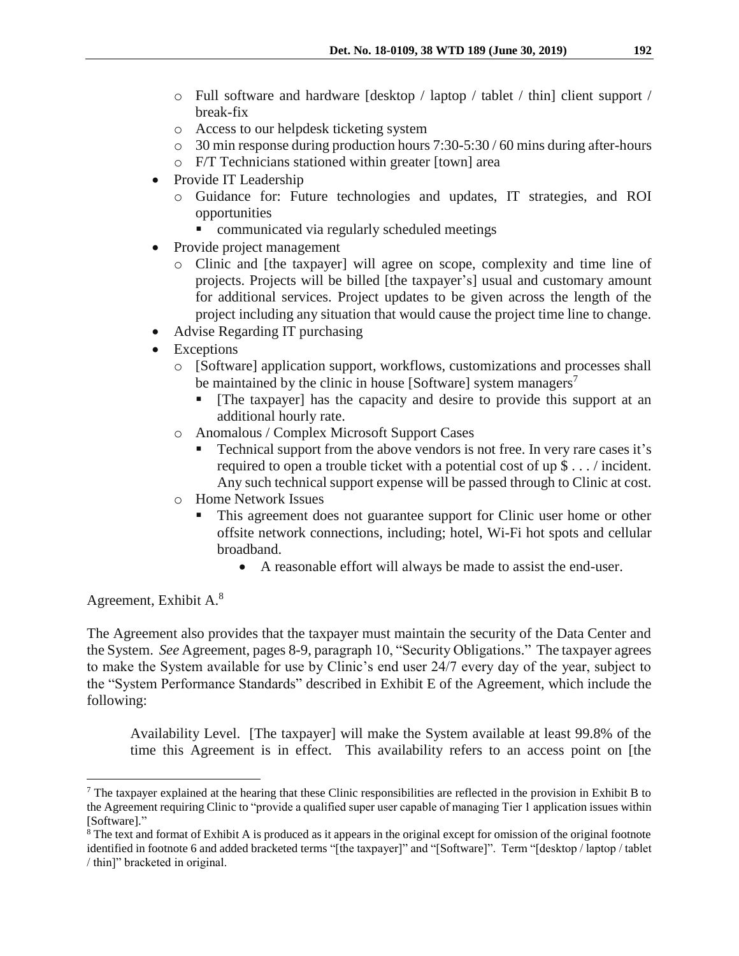- o Full software and hardware [desktop / laptop / tablet / thin] client support / break-fix
- o Access to our helpdesk ticketing system
- o 30 min response during production hours 7:30-5:30 / 60 mins during after-hours
- o F/T Technicians stationed within greater [town] area
- Provide IT Leadership
	- o Guidance for: Future technologies and updates, IT strategies, and ROI opportunities
		- communicated via regularly scheduled meetings
- Provide project management
	- o Clinic and [the taxpayer] will agree on scope, complexity and time line of projects. Projects will be billed [the taxpayer's] usual and customary amount for additional services. Project updates to be given across the length of the project including any situation that would cause the project time line to change.
- Advise Regarding IT purchasing
- Exceptions
	- o [Software] application support, workflows, customizations and processes shall be maintained by the clinic in house [Software] system managers<sup>7</sup>
		- [The taxpayer] has the capacity and desire to provide this support at an additional hourly rate.
	- o Anomalous / Complex Microsoft Support Cases
		- Technical support from the above vendors is not free. In very rare cases it's required to open a trouble ticket with a potential cost of up \$ . . . / incident. Any such technical support expense will be passed through to Clinic at cost.
	- o Home Network Issues
		- This agreement does not guarantee support for Clinic user home or other offsite network connections, including; hotel, Wi-Fi hot spots and cellular broadband.
			- A reasonable effort will always be made to assist the end-user.

Agreement, Exhibit A.<sup>8</sup>

 $\overline{a}$ 

The Agreement also provides that the taxpayer must maintain the security of the Data Center and the System. *See* Agreement, pages 8-9, paragraph 10, "Security Obligations." The taxpayer agrees to make the System available for use by Clinic's end user 24/7 every day of the year, subject to the "System Performance Standards" described in Exhibit E of the Agreement, which include the following:

Availability Level. [The taxpayer] will make the System available at least 99.8% of the time this Agreement is in effect. This availability refers to an access point on [the

<sup>&</sup>lt;sup>7</sup> The taxpayer explained at the hearing that these Clinic responsibilities are reflected in the provision in Exhibit B to the Agreement requiring Clinic to "provide a qualified super user capable of managing Tier 1 application issues within [Software]."

<sup>&</sup>lt;sup>8</sup> The text and format of Exhibit A is produced as it appears in the original except for omission of the original footnote identified in footnote 6 and added bracketed terms "[the taxpayer]" and "[Software]". Term "[desktop / laptop / tablet / thin]" bracketed in original.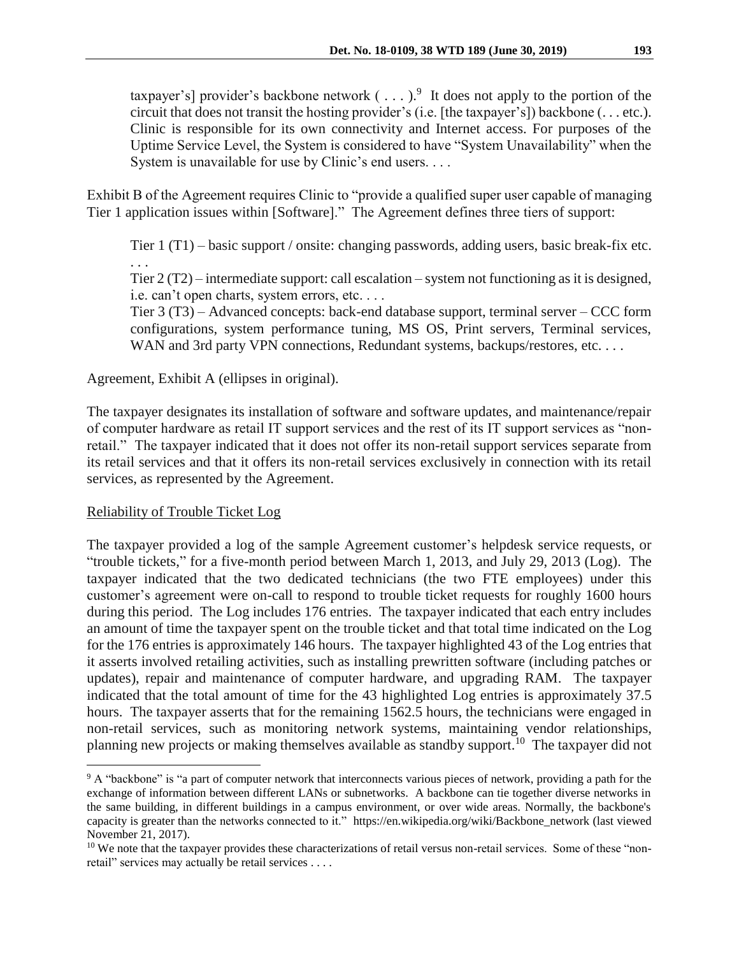taxpayer's] provider's backbone network  $(\ldots)$ <sup>9</sup>. It does not apply to the portion of the circuit that does not transit the hosting provider's (i.e. [the taxpayer's]) backbone (. . . etc.). Clinic is responsible for its own connectivity and Internet access. For purposes of the Uptime Service Level, the System is considered to have "System Unavailability" when the System is unavailable for use by Clinic's end users. . . .

Exhibit B of the Agreement requires Clinic to "provide a qualified super user capable of managing Tier 1 application issues within [Software]." The Agreement defines three tiers of support:

Tier 1 (T1) – basic support / onsite: changing passwords, adding users, basic break-fix etc. . . .

Tier 2 (T2) – intermediate support: call escalation – system not functioning as it is designed, i.e. can't open charts, system errors, etc. . . .

Tier 3 (T3) – Advanced concepts: back-end database support, terminal server – CCC form configurations, system performance tuning, MS OS, Print servers, Terminal services, WAN and 3rd party VPN connections, Redundant systems, backups/restores, etc. . . . .

Agreement, Exhibit A (ellipses in original).

The taxpayer designates its installation of software and software updates, and maintenance/repair of computer hardware as retail IT support services and the rest of its IT support services as "nonretail." The taxpayer indicated that it does not offer its non-retail support services separate from its retail services and that it offers its non-retail services exclusively in connection with its retail services, as represented by the Agreement.

# Reliability of Trouble Ticket Log

 $\overline{a}$ 

The taxpayer provided a log of the sample Agreement customer's helpdesk service requests, or "trouble tickets," for a five-month period between March 1, 2013, and July 29, 2013 (Log). The taxpayer indicated that the two dedicated technicians (the two FTE employees) under this customer's agreement were on-call to respond to trouble ticket requests for roughly 1600 hours during this period. The Log includes 176 entries. The taxpayer indicated that each entry includes an amount of time the taxpayer spent on the trouble ticket and that total time indicated on the Log for the 176 entries is approximately 146 hours. The taxpayer highlighted 43 of the Log entries that it asserts involved retailing activities, such as installing prewritten software (including patches or updates), repair and maintenance of computer hardware, and upgrading RAM. The taxpayer indicated that the total amount of time for the 43 highlighted Log entries is approximately 37.5 hours. The taxpayer asserts that for the remaining 1562.5 hours, the technicians were engaged in non-retail services, such as monitoring network systems, maintaining vendor relationships, planning new projects or making themselves available as standby support.<sup>10</sup> The taxpayer did not

<sup>9</sup> A "backbone" is "a part of computer network that interconnects various pieces of network, providing a path for the exchange of information between different LANs or subnetworks. A backbone can tie together diverse networks in the same building, in different buildings in a campus environment, or over wide areas. Normally, the backbone's capacity is greater than the networks connected to it." https://en.wikipedia.org/wiki/Backbone\_network (last viewed November 21, 2017).

<sup>&</sup>lt;sup>10</sup> We note that the taxpayer provides these characterizations of retail versus non-retail services. Some of these "nonretail" services may actually be retail services . . . .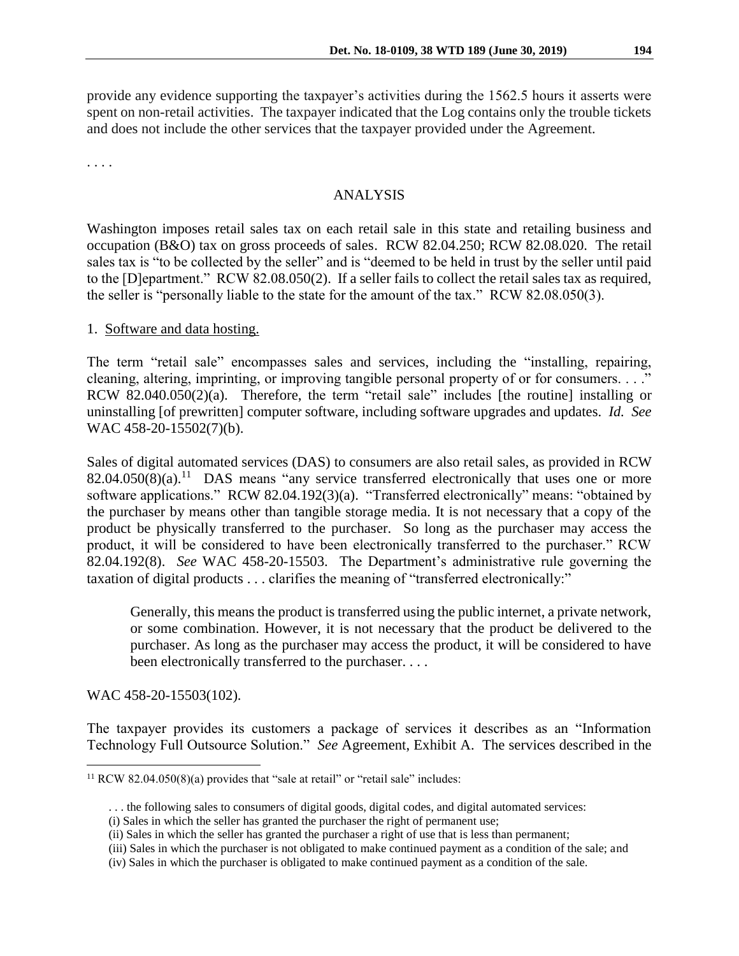provide any evidence supporting the taxpayer's activities during the 1562.5 hours it asserts were spent on non-retail activities. The taxpayer indicated that the Log contains only the trouble tickets and does not include the other services that the taxpayer provided under the Agreement.

. . . .

## ANALYSIS

Washington imposes retail sales tax on each retail sale in this state and retailing business and occupation (B&O) tax on gross proceeds of sales. RCW 82.04.250; RCW 82.08.020. The retail sales tax is "to be collected by the seller" and is "deemed to be held in trust by the seller until paid to the [D]epartment." RCW 82.08.050(2). If a seller fails to collect the retail sales tax as required, the seller is "personally liable to the state for the amount of the tax." RCW 82.08.050(3).

### 1. Software and data hosting.

The term "retail sale" encompasses sales and services, including the "installing, repairing, cleaning, altering, imprinting, or improving tangible personal property of or for consumers. . . ." RCW 82.040.050(2)(a). Therefore, the term "retail sale" includes [the routine] installing or uninstalling [of prewritten] computer software, including software upgrades and updates. *Id. See*  WAC 458-20-15502(7)(b).

Sales of digital automated services (DAS) to consumers are also retail sales, as provided in RCW  $82.04.050(8)(a)$ .<sup>11</sup> DAS means "any service transferred electronically that uses one or more software applications." RCW 82.04.192(3)(a). "Transferred electronically" means: "obtained by the purchaser by means other than tangible storage media. It is not necessary that a copy of the product be physically transferred to the purchaser. So long as the purchaser may access the product, it will be considered to have been electronically transferred to the purchaser." RCW 82.04.192(8). *See* WAC 458-20-15503. The Department's administrative rule governing the taxation of digital products . . . clarifies the meaning of "transferred electronically:"

Generally, this means the product is transferred using the public internet, a private network, or some combination. However, it is not necessary that the product be delivered to the purchaser. As long as the purchaser may access the product, it will be considered to have been electronically transferred to the purchaser. . . .

WAC 458-20-15503(102).

 $\overline{a}$ 

The taxpayer provides its customers a package of services it describes as an "Information Technology Full Outsource Solution." *See* Agreement, Exhibit A. The services described in the

<sup>&</sup>lt;sup>11</sup> RCW 82.04.050(8)(a) provides that "sale at retail" or "retail sale" includes:

<sup>. . .</sup> the following sales to consumers of digital goods, digital codes, and digital automated services:

<sup>(</sup>i) Sales in which the seller has granted the purchaser the right of permanent use;

<sup>(</sup>ii) Sales in which the seller has granted the purchaser a right of use that is less than permanent;

<sup>(</sup>iii) Sales in which the purchaser is not obligated to make continued payment as a condition of the sale; and

<sup>(</sup>iv) Sales in which the purchaser is obligated to make continued payment as a condition of the sale.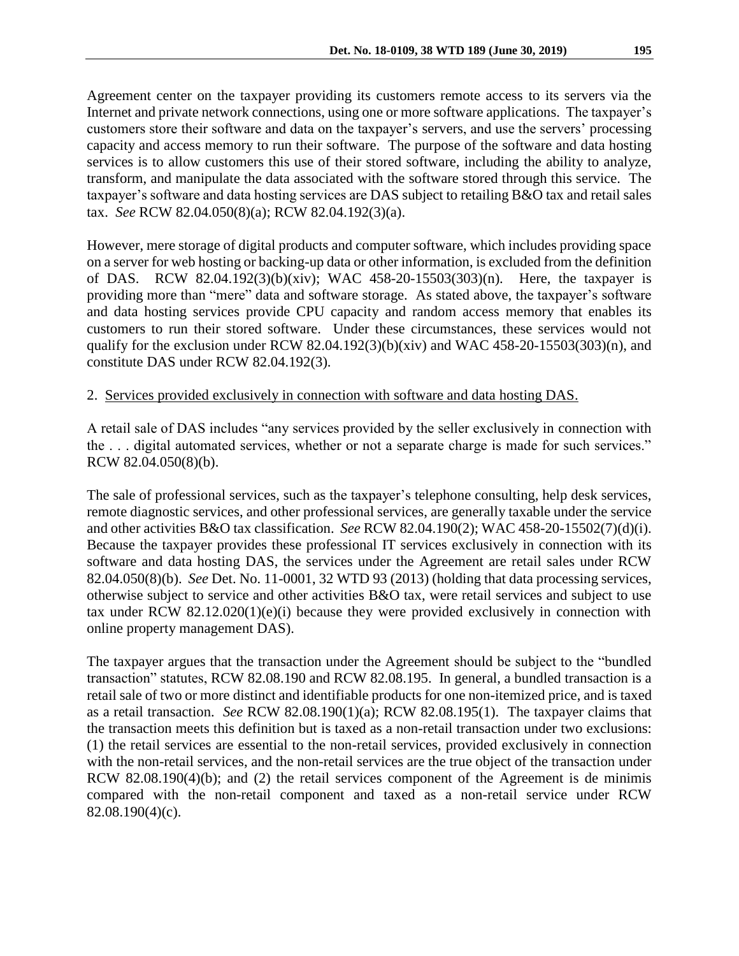Agreement center on the taxpayer providing its customers remote access to its servers via the Internet and private network connections, using one or more software applications. The taxpayer's customers store their software and data on the taxpayer's servers, and use the servers' processing capacity and access memory to run their software. The purpose of the software and data hosting services is to allow customers this use of their stored software, including the ability to analyze, transform, and manipulate the data associated with the software stored through this service. The taxpayer's software and data hosting services are DAS subject to retailing B&O tax and retail sales tax. *See* RCW 82.04.050(8)(a); RCW 82.04.192(3)(a).

However, mere storage of digital products and computer software, which includes providing space on a server for web hosting or backing-up data or other information, is excluded from the definition of DAS. RCW 82.04.192(3)(b)(xiv); WAC 458-20-15503(303)(n). Here, the taxpayer is providing more than "mere" data and software storage. As stated above, the taxpayer's software and data hosting services provide CPU capacity and random access memory that enables its customers to run their stored software. Under these circumstances, these services would not qualify for the exclusion under RCW 82.04.192(3)(b)(xiv) and WAC 458-20-15503(303)(n), and constitute DAS under RCW 82.04.192(3).

## 2. Services provided exclusively in connection with software and data hosting DAS.

A retail sale of DAS includes "any services provided by the seller exclusively in connection with the . . . digital automated services, whether or not a separate charge is made for such services." RCW 82.04.050(8)(b).

The sale of professional services, such as the taxpayer's telephone consulting, help desk services, remote diagnostic services, and other professional services, are generally taxable under the service and other activities B&O tax classification. *See* RCW 82.04.190(2); WAC 458-20-15502(7)(d)(i). Because the taxpayer provides these professional IT services exclusively in connection with its software and data hosting DAS, the services under the Agreement are retail sales under RCW 82.04.050(8)(b). *See* Det. No. 11-0001, 32 WTD 93 (2013) (holding that data processing services, otherwise subject to service and other activities B&O tax, were retail services and subject to use tax under RCW 82.12.020(1)(e)(i) because they were provided exclusively in connection with online property management DAS).

The taxpayer argues that the transaction under the Agreement should be subject to the "bundled transaction" statutes, RCW 82.08.190 and RCW 82.08.195. In general, a bundled transaction is a retail sale of two or more distinct and identifiable products for one non-itemized price, and is taxed as a retail transaction. *See* RCW 82.08.190(1)(a); RCW 82.08.195(1). The taxpayer claims that the transaction meets this definition but is taxed as a non-retail transaction under two exclusions: (1) the retail services are essential to the non-retail services, provided exclusively in connection with the non-retail services, and the non-retail services are the true object of the transaction under RCW 82.08.190(4)(b); and (2) the retail services component of the Agreement is de minimis compared with the non-retail component and taxed as a non-retail service under RCW 82.08.190(4)(c).